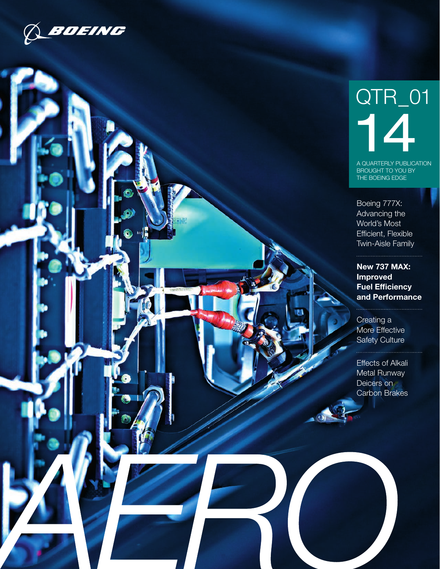

# QTR\_01 14

A QUARTERLY PUBLICATION BROUGHT TO YOU BY THE BOEING EDGE

Boeing 777X: Advancing the World's Most Efficient, Flexible Twin-Aisle Family

New 737 MAX: Improved Fuel Efficiency and Performance

[Creating a](#page-2-0)  [More Effective](#page-2-0)  [Safety Culture](#page-2-0)

Effects of Alkali Metal Runway Deicers on Carbon Brakes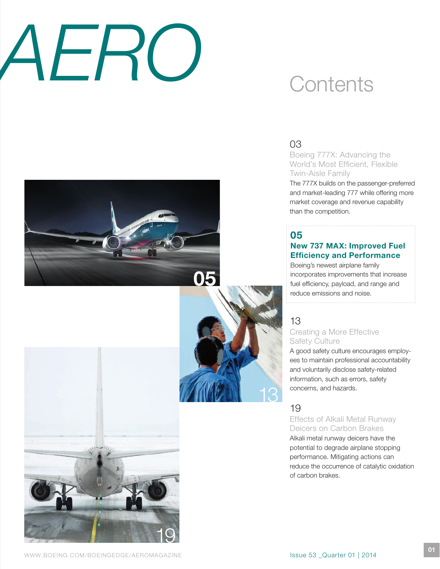# *AERO*

## **Contents**

### 03

Boeing 777X: Advancing the World's Most Efficient, Flexible Twin-Aisle Family

The 777X builds on the passenger-preferred and market-leading 777 while offering more market coverage and revenue capability than the competition.

### 05

### New 737 MAX: Improved Fuel Efficiency and Performance

Boeing's newest airplane family incorporates improvements that increase fuel efficiency, payload, and range and reduce emissions and noise.

### [13](#page-3-0)

### [Creating a More Effective](#page-3-0)  [Safety Culture](#page-3-0)

[A good safety culture encourages employ](#page-3-0)[ees to maintain professional accountability](#page-3-0)  [and voluntarily disclose safety-related](#page-3-0)  [information, such as errors, safety](#page-3-0)  [concerns, and hazards.](#page-3-0)

### 19

13

05

### Effects of Alkali Metal Runway Deicers on Carbon Brakes

Alkali metal runway deicers have the potential to degrade airplane stopping performance. Mitigating actions can reduce the occurrence of catalytic oxidation of carbon brakes.

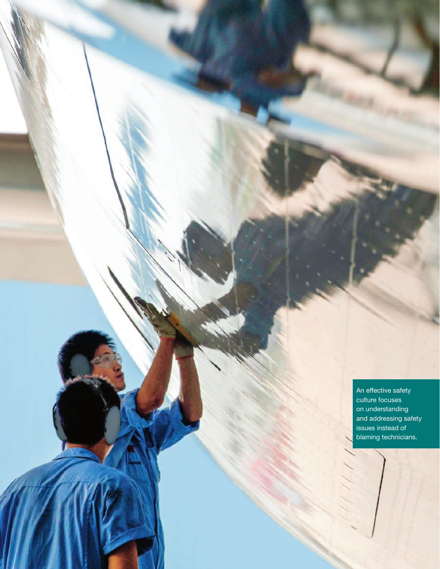<span id="page-2-0"></span>An effective safety culture focuses on understanding and addressing safety issues instead of blaming technicians.

AERO QUARTERLY QUARTERLY QUARTERLY QUARTERLY

12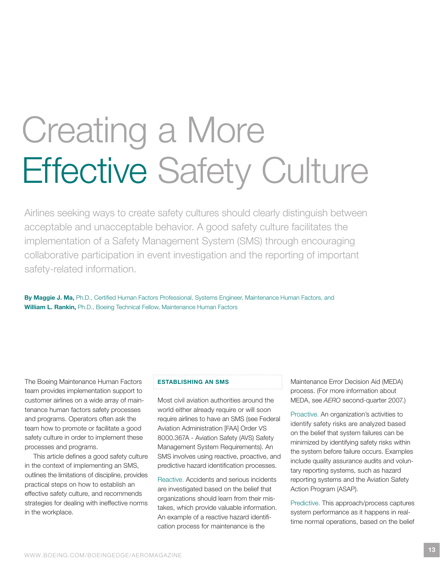# <span id="page-3-0"></span>Creating a More Effective Safety Culture

Airlines seeking ways to create safety cultures should clearly distinguish between acceptable and unacceptable behavior. A good safety culture facilitates the implementation of a Safety Management System (SMS) through encouraging collaborative participation in event investigation and the reporting of important safety-related information.

By Maggie J. Ma, Ph.D., Certified Human Factors Professional, Systems Engineer, Maintenance Human Factors, and William L. Rankin, Ph.D., Boeing Technical Fellow, Maintenance Human Factors

The Boeing Maintenance Human Factors team provides implementation support to customer airlines on a wide array of maintenance human factors safety processes and programs. Operators often ask the team how to promote or facilitate a good safety culture in order to implement these processes and programs.

This article defines a good safety culture in the context of implementing an SMS, outlines the limitations of discipline, provides practical steps on how to establish an effective safety culture, and recommends strategies for dealing with ineffective norms in the workplace.

### ESTABLISHING AN SMS

Most civil aviation authorities around the world either already require or will soon require airlines to have an SMS (see Federal Aviation Administration [FAA] Order VS 8000.367A - Aviation Safety (AVS) Safety Management System Requirements). An SMS involves using reactive, proactive, and predictive hazard identification processes.

Reactive. Accidents and serious incidents are investigated based on the belief that organizations should learn from their mistakes, which provide valuable information. An example of a reactive hazard identification process for maintenance is the

Maintenance Error Decision Aid (MEDA) process. (For more information about MEDA, see *AERO* second-quarter 2007.)

Proactive. An organization's activities to identify safety risks are analyzed based on the belief that system failures can be minimized by identifying safety risks within the system before failure occurs. Examples include quality assurance audits and voluntary reporting systems, such as hazard reporting systems and the Aviation Safety Action Program (ASAP).

Predictive. This approach/process captures system performance as it happens in realtime normal operations, based on the belief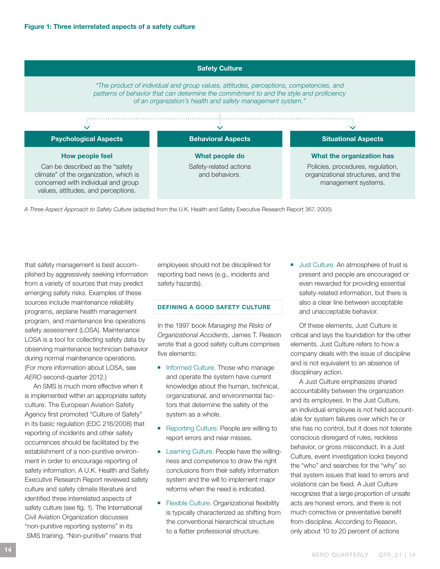

*A Three Aspect Approach to Safety Culture* (adapted from the U.K. Health and Safety Executive Research Report 367, 2005)

that safety management is best accomplished by aggressively seeking information from a variety of sources that may predict emerging safety risks. Examples of these sources include maintenance reliability programs, airplane health management program, and maintenance line operations safety assessment (LOSA). Maintenance LOSA is a tool for collecting safety data by observing maintenance technician behavior during normal maintenance operations. (For more information about LOSA, see *AERO* second-quarter 2012.)

An SMS is much more effective when it is implemented within an appropriate safety culture. The European Aviation Safety Agency first promoted "Culture of Safety" in its basic regulation (EDC 216/2008) that reporting of incidents and other safety occurrences should be facilitated by the establishment of a non-punitive environment in order to encourage reporting of safety information. A U.K. Health and Safety Executive Research Report reviewed safety culture and safety climate literature and identified three interrelated aspects of safety culture (see fig. 1). The International Civil Aviation Organization discusses "non-punitive reporting systems" in its SMS training. "Non-punitive" means that

employees should not be disciplined for reporting bad news (e.g., incidents and safety hazards).

### DEFINING A GOOD SAFETY CULTURE

In the 1997 book *Managing the Risks of Organizational Accidents*, James T. Reason wrote that a good safety culture comprises five elements:

- Informed Culture. Those who manage and operate the system have current knowledge about the human, technical, organizational, and environmental factors that determine the safety of the system as a whole.
- Reporting Culture. People are willing to report errors and near misses.
- Learning Culture. People have the willingness and competence to draw the right conclusions from their safety information system and the will to implement major reforms when the need is indicated.
- Flexible Culture. Organizational flexibility is typically characterized as shifting from the conventional hierarchical structure to a flatter professional structure.

■ Just Culture. An atmosphere of trust is present and people are encouraged or even rewarded for providing essential safety-related information, but there is also a clear line between acceptable and unacceptable behavior.

Of these elements, Just Culture is critical and lays the foundation for the other elements. Just Culture refers to how a company deals with the issue of discipline and is not equivalent to an absence of disciplinary action.

A Just Culture emphasizes shared accountability between the organization and its employees. In the Just Culture, an individual employee is not held accountable for system failures over which he or she has no control, but it does not tolerate conscious disregard of rules, reckless behavior, or gross misconduct. In a Just Culture, event investigation looks beyond the "who" and searches for the "why" so that system issues that lead to errors and violations can be fixed. A Just Culture recognizes that a large proportion of unsafe acts are honest errors, and there is not much corrective or preventative benefit from discipline. According to Reason, only about 10 to 20 percent of actions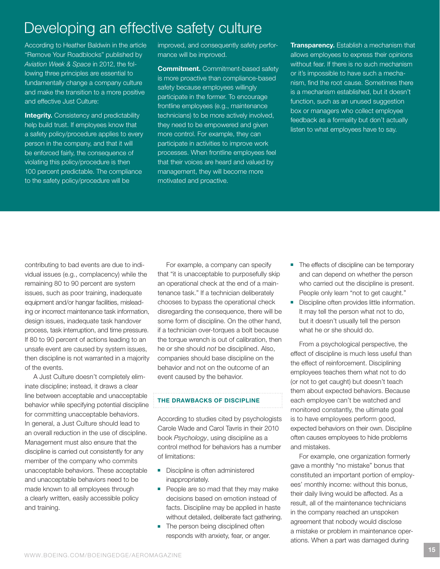### Developing an effective safety culture

According to Heather Baldwin in the article "Remove Your Roadblocks" published by *Aviation Week & Space* in 2012, the following three principles are essential to fundamentally change a company culture and make the transition to a more positive and effective Just Culture:

**Integrity.** Consistency and predictability help build trust. If employees know that a safety policy/procedure applies to every person in the company, and that it will be enforced fairly, the consequence of violating this policy/procedure is then 100 percent predictable. The compliance to the safety policy/procedure will be

improved, and consequently safety performance will be improved.

**Commitment.** Commitment-based safety is more proactive than compliance-based safety because employees willingly participate in the former. To encourage frontline employees (e.g., maintenance technicians) to be more actively involved, they need to be empowered and given more control. For example, they can participate in activities to improve work processes. When frontline employees feel that their voices are heard and valued by management, they will become more motivated and proactive.

**Transparency.** Establish a mechanism that allows employees to express their opinions without fear. If there is no such mechanism or it's impossible to have such a mechanism, find the root cause. Sometimes there is a mechanism established, but it doesn't function, such as an unused suggestion box or managers who collect employee feedback as a formality but don't actually listen to what employees have to say.

contributing to bad events are due to individual issues (e.g., complacency) while the remaining 80 to 90 percent are system issues, such as poor training, inadequate equipment and/or hangar facilities, misleading or incorrect maintenance task information, design issues, inadequate task handover process, task interruption, and time pressure. If 80 to 90 percent of actions leading to an unsafe event are caused by system issues, then discipline is not warranted in a majority of the events.

A Just Culture doesn't completely eliminate discipline; instead, it draws a clear line between acceptable and unacceptable behavior while specifying potential discipline for committing unacceptable behaviors. In general, a Just Culture should lead to an overall reduction in the use of discipline. Management must also ensure that the discipline is carried out consistently for any member of the company who commits unacceptable behaviors. These acceptable and unacceptable behaviors need to be made known to all employees through a clearly written, easily accessible policy and training.

For example, a company can specify that "it is unacceptable to purposefully skip an operational check at the end of a maintenance task." If a technician deliberately chooses to bypass the operational check disregarding the consequence, there will be some form of discipline. On the other hand, if a technician over-torques a bolt because the torque wrench is out of calibration, then he or she should *not* be disciplined. Also, companies should base discipline on the behavior and not on the outcome of an event caused by the behavior.

### THE DRAWBACKS OF DISCIPLINE

According to studies cited by psychologists Carole Wade and Carol Tavris in their 2010 book *Psychology*, using discipline as a control method for behaviors has a number of limitations:

- Discipline is often administered inappropriately.
- People are so mad that they may make decisions based on emotion instead of facts. Discipline may be applied in haste without detailed, deliberate fact gathering.
- The person being disciplined often responds with anxiety, fear, or anger.
- The effects of discipline can be temporary and can depend on whether the person who carried out the discipline is present. People only learn "not to get caught."
- Discipline often provides little information. It may tell the person what not to do, but it doesn't usually tell the person what he or she should do.

From a psychological perspective, the effect of discipline is much less useful than the effect of reinforcement. Disciplining employees teaches them what not to do (or not to get caught) but doesn't teach them about expected behaviors. Because each employee can't be watched and monitored constantly, the ultimate goal is to have employees perform good, expected behaviors on their own. Discipline often causes employees to hide problems and mistakes.

For example, one organization formerly gave a monthly "no mistake" bonus that constituted an important portion of employees' monthly income: without this bonus, their daily living would be affected. As a result, all of the maintenance technicians in the company reached an unspoken agreement that nobody would disclose a mistake or problem in maintenance operations. When a part was damaged during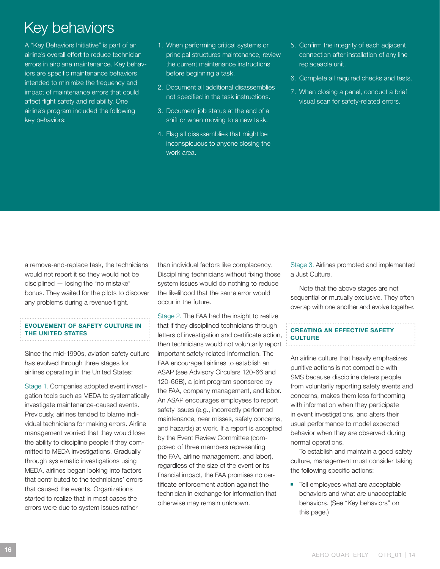### Key behaviors

A "Key Behaviors Initiative" is part of an airline's overall effort to reduce technician errors in airplane maintenance. Key behaviors are specific maintenance behaviors intended to minimize the frequency and impact of maintenance errors that could affect flight safety and reliability. One airline's program included the following key behaviors:

- 1. When performing critical systems or principal structures maintenance, review the current maintenance instructions before beginning a task.
- 2. Document all additional disassemblies not specified in the task instructions.
- 3. Document job status at the end of a shift or when moving to a new task.
- 4. Flag all disassemblies that might be inconspicuous to anyone closing the work area.
- 5. Confirm the integrity of each adjacent connection after installation of any line replaceable unit.
- 6. Complete all required checks and tests.
- 7. When closing a panel, conduct a brief visual scan for safety-related errors.

a remove-and-replace task, the technicians would not report it so they would not be disciplined — losing the "no mistake" bonus. They waited for the pilots to discover any problems during a revenue flight.

### EVOLVEMENT OF SAFETY CULTURE IN THE UNITED STATES

Since the mid-1990s, aviation safety culture has evolved through three stages for airlines operating in the United States:

Stage 1. Companies adopted event investigation tools such as MEDA to systematically investigate maintenance-caused events. Previously, airlines tended to blame individual technicians for making errors. Airline management worried that they would lose the ability to discipline people if they committed to MEDA investigations. Gradually through systematic investigations using MEDA, airlines began looking into factors that contributed to the technicians' errors that caused the events. Organizations started to realize that in most cases the errors were due to system issues rather

than individual factors like complacency. Disciplining technicians without fixing those system issues would do nothing to reduce the likelihood that the same error would occur in the future.

Stage 2. The FAA had the insight to realize that if they disciplined technicians through letters of investigation and certificate action, then technicians would not voluntarily report important safety-related information. The FAA encouraged airlines to establish an ASAP (see Advisory Circulars 120-66 and 120-66B), a joint program sponsored by the FAA, company management, and labor. An ASAP encourages employees to report safety issues (e.g., incorrectly performed maintenance, near misses, safety concerns, and hazards) at work. If a report is accepted by the Event Review Committee (composed of three members representing the FAA, airline management, and labor), regardless of the size of the event or its financial impact, the FAA promises no certificate enforcement action against the technician in exchange for information that otherwise may remain unknown.

Stage 3. Airlines promoted and implemented a Just Culture.

Note that the above stages are not sequential or mutually exclusive. They often overlap with one another and evolve together.

### CREATING AN EFFECTIVE SAFETY CULTURE

An airline culture that heavily emphasizes punitive actions is not compatible with SMS because discipline deters people from voluntarily reporting safety events and concerns, makes them less forthcoming with information when they participate in event investigations, and alters their usual performance to model expected behavior when they are observed during normal operations.

To establish and maintain a good safety culture, management must consider taking the following specific actions:

■ Tell employees what are acceptable behaviors and what are unacceptable behaviors. (See "Key behaviors" on this page.)